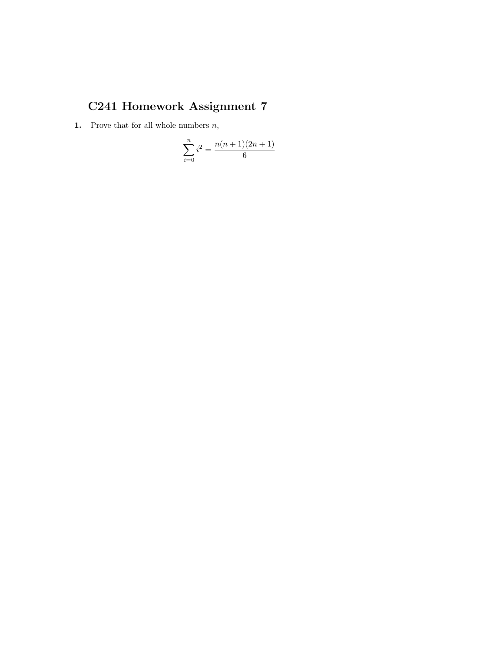## C241 Homework Assignment 7

**1.** Prove that for all whole numbers  $n$ ,

$$
\sum_{i=0}^{n} i^2 = \frac{n(n+1)(2n+1)}{6}
$$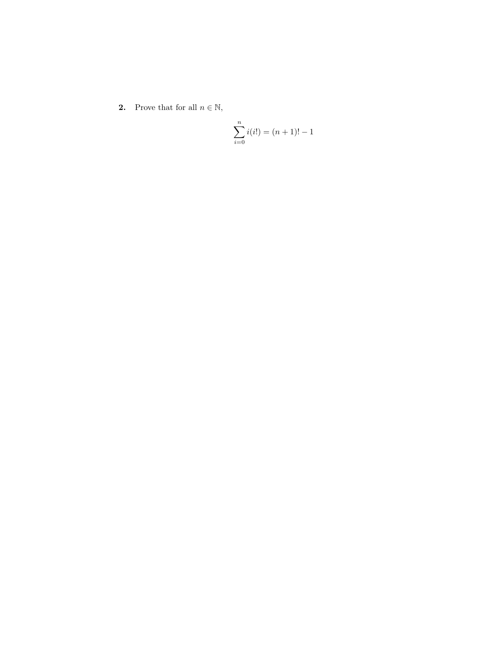**2.** Prove that for all  $n \in \mathbb{N}$ ,

$$
\sum_{i=0}^{n} i(i!) = (n+1)! - 1
$$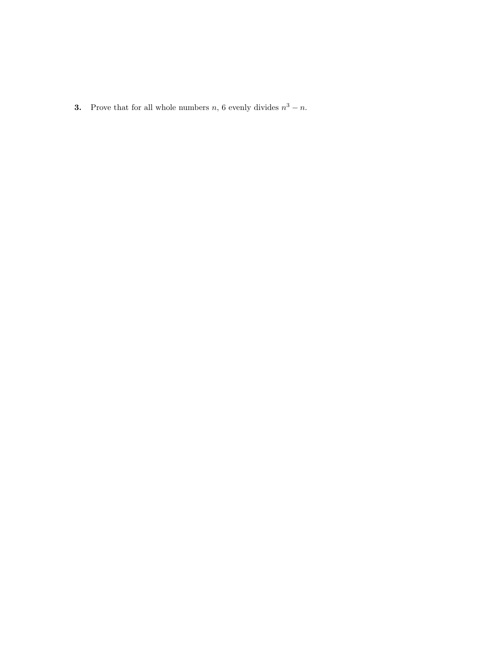**3.** Prove that for all whole numbers n, 6 evenly divides  $n^3 - n$ .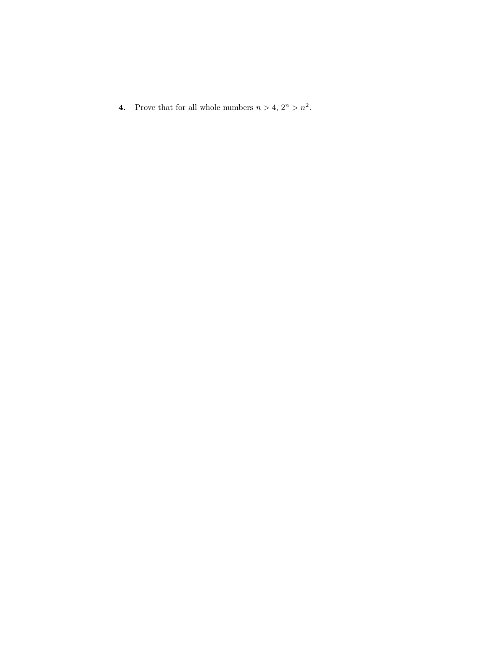**4.** Prove that for all whole numbers  $n > 4$ ,  $2^n > n^2$ .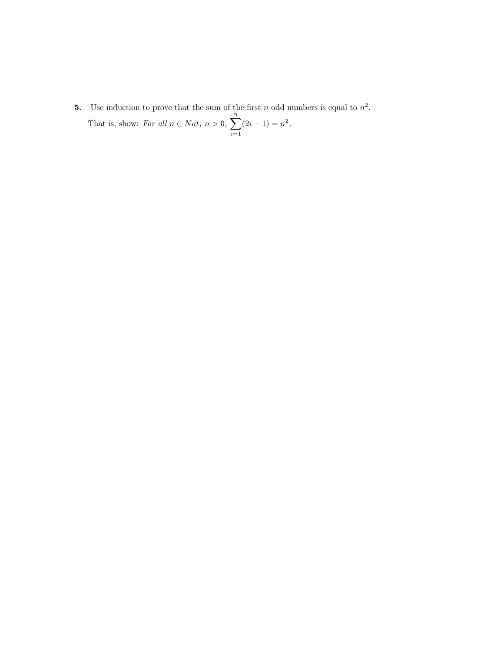**5.** Use induction to prove that the sum of the first n odd numbers is equal to  $n^2$ . That is, show: For all  $n \in Nat$ ,  $n > 0$ ,  $\sum_{n=1}^{\infty}$  $i=1$  $(2i-1) = n^2$ .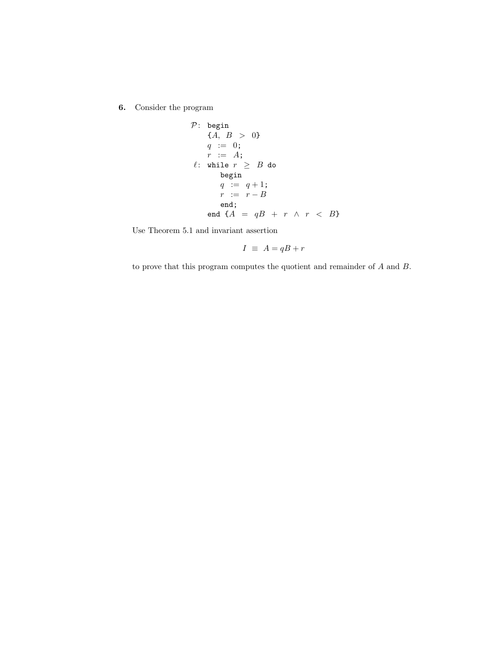6. Consider the program

$$
\begin{array}{lll} \mathcal{P}: \begin{array}{l} \text{begin} \\ \end{array} & \{A, \ B > \ 0\} \\ & q \ := \ 0; \\ & r \ := \ A; \\ & \ell: \ \text{while} \ \ r \ \geq \ B \ \text{do} \\ & \text{begin} \\ & q \ := \ q+1; \\ & r \ := \ r-B \\ & \text{end}; \\ & \text{end} \ \{A} = qB \ + \ r \ \wedge \ r \ < \ B \} \end{array}
$$

Use Theorem 5.1 and invariant assertion

$$
I \equiv A = qB + r
$$

to prove that this program computes the quotient and remainder of A and B.